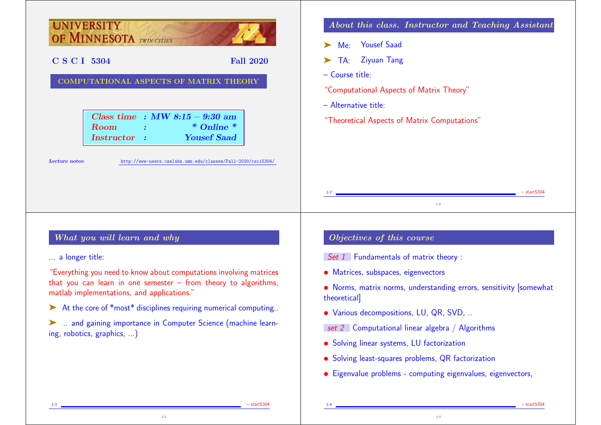

1-3 – start5304

1-3

1-4 – start5304 – start5304 – start5304 – start5304 – start5304 – start5304 – start5304 – start5304 – start530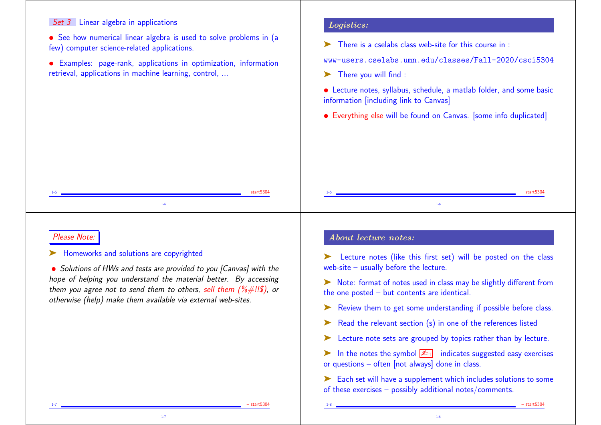### Set 3 Linear algebra in applications

• See how numerical linear algebra is used to solve problems in (a few) computer science-related applications.

• Examples: page-rank, applications in optimization, information retrieval, applications in machine learning, control, ...

#### Logistics:

 $\blacktriangleright$  There is a cselabs class web-site for this course in :

www-users.cselabs.umn.edu/classes/Fall-2020/csci5304

- ▶ There you will find :
- Lecture notes, syllabus, schedule, a matlab folder, and some basic information [including link to Canvas]
- Everything else will be found on Canvas. Isome info duplicated

### Please Note:

#### ▶ Homeworks and solutions are copyrighted

• Solutions of HWs and tests are provided to you [Canvas] with the hope of helping you understand the material better. By accessing them you agree not to send them to others, sell them  $(\frac{\%}{\#}$ !!\$), or otherwise (help) make them available via external web-sites.

1-7

1-5 – start5304 1-5

## About lecture notes:

➤ Lecture notes (like this first set) will be posted on the class web-site – usually before the lecture.

1-6 – start5304 1-6

➤ Note: format of notes used in class may be slightly different from the one posted – but contents are identical.

- Review them to get some understanding if possible before class.
- ➤ Read the relevant section (s) in one of the references listed
- Lecture note sets are grouped by topics rather than by lecture.

in the notes the symbol  $\mathbb{Z}_{11}$  indicates suggested easy exercises or questions – often [not always] done in class.

➤ Each set will have a supplement which includes solutions to some of these exercises – possibly additional notes/comments.

1-8

1-7 – start5304 – start5304

1-8 – start5304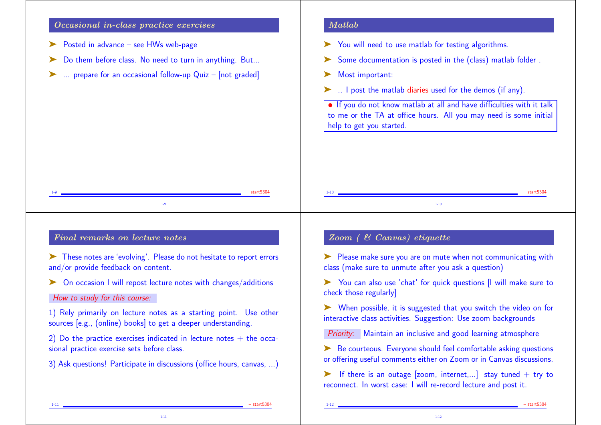### Occasional in-class practice exercises

- Posted in advance see HWs web-page
- Do them before class. No need to turn in anything. But...
- $\ldots$  prepare for an occasional follow-up Quiz [not graded]

#### Matlab

- You will need to use matlab for testing algorithms.
- Some documentation is posted in the (class) matlab folder.
- ➤ Most important:
- ➤ .. I post the matlab diaries used for the demos (if any).

• If you do not know matlab at all and have difficulties with it talk to me or the TA at office hours. All you may need is some initial help to get you started.

|     | $-$ start $5304$ | $1 - 10$ | $-$ start $5304$ |
|-----|------------------|----------|------------------|
| 1.9 |                  | $-10$    |                  |

# Final remarks on lecture notes

➤ These notes are 'evolving'. Please do not hesitate to report errors and/or provide feedback on content.

➤ On occasion I will repost lecture notes with changes/additions

#### How to study for this course:

1) Rely primarily on lecture notes as a starting point. Use other sources [e.g., (online) books] to get a deeper understanding.

2) Do the practice exercises indicated in lecture notes  $+$  the occasional practice exercise sets before class.

3) Ask questions! Participate in discussions (office hours, canvas, ...)

1-11

## Zoom ( & Canvas) etiquette

➤ Please make sure you are on mute when not communicating with class (make sure to unmute after you ask a question)

➤ You can also use 'chat' for quick questions [I will make sure to check those regularly]

➤ When possible, it is suggested that you switch the video on for interactive class activities. Suggestion: Use zoom backgrounds

Priority: Maintain an inclusive and good learning atmosphere

► Be courteous. Everyone should feel comfortable asking questions or offering useful comments either on Zoom or in Canvas discussions.

 $\triangleright$  If there is an outage [zoom, internet,...] stay tuned + try to reconnect. In worst case: I will re-record lecture and post it.

1-12

1-11 – start5304 – start5304 – start5304 – start5304 – start5304 – start5304 – start5304 – start5304 – start530

1-12 – start5304 – start5304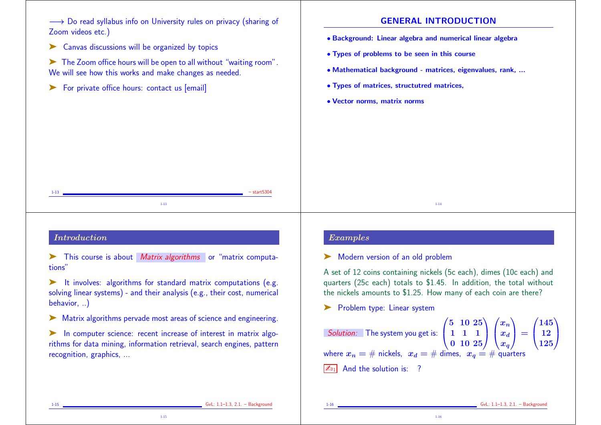→ Do read syllabus info on University rules on privacy (sharing of Zoom videos etc.)

▶ Canvas discussions will be organized by topics

➤ The Zoom office hours will be open to all without "waiting room". We will see how this works and make changes as needed.

▶ For private office hours: contact us [email]

### GENERAL INTRODUCTION

- Background: Linear algebra and numerical linear algebra
- Types of problems to be seen in this course
- Mathematical background matrices, eigenvalues, rank, ...
- Types of matrices, structutred matrices,
- Vector norms, matrix norms

## Introduction

► This course is about Matrix algorithms or "matrix computations"

1-13 – start5304 1-13

➤ It involves: algorithms for standard matrix computations (e.g. solving linear systems) - and their analysis (e.g., their cost, numerical behavior, ..)

➤ Matrix algorithms pervade most areas of science and engineering.

► In computer science: recent increase of interest in matrix algorithms for data mining, information retrieval, search engines, pattern recognition, graphics, ...

1-15

## Examples

➤ Modern version of an old problem

A set of 12 coins containing nickels (5c each), dimes (10c each) and quarters (25c each) totals to \$1.45. In addition, the total without the nickels amounts to \$1.25. How many of each coin are there?

1-14

▶ Problem type: Linear system

Solution: The system you get is:  $\sqrt{5}$  $\frac{1}{2}$  $5\;10\;25)$ 1 1 1  $0\,$  10  $25/$  $\setminus$  /  $\mathbf{1}$  $\sqrt{x}$  $\vert x_c \vert$  $x_n\setminus$  $\boldsymbol{x_d}$  $\overline{x}_q$  $\sum_{i=1}^{n}$  $\Big\} = \Big\{$  $(145)$  $\frac{12}{12}$ 125  $\sum_{i=1}^{n}$  $\mathbf{I}$ where  $x_n = #$  nickels,  $x_d = #$  dimes,  $x_a = #$  quarters  $\boxed{\mathbb{Z}_{21}}$  And the solution is: ?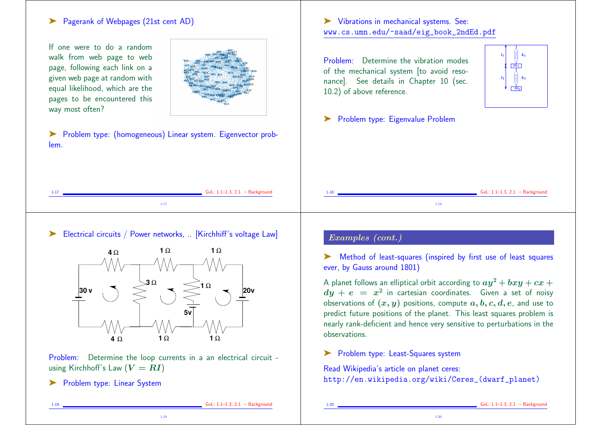## ➤ Pagerank of Webpages (21st cent AD)

If one were to do a random walk from web page to web page, following each link on a given web page at random with equal likelihood, which are the pages to be encountered this way most often?



➤ Problem type: (homogeneous) Linear system. Eigenvector problem.

➤ Vibrations in mechanical systems. See: www.cs.umn.edu/~saad/eig\_book\_2ndEd.pdf

Problem: Determine the vibration modes of the mechanical system [to avoid resonance]. See details in Chapter 10 (sec. 10.2) of above reference.



▶ Problem type: Eigenvalue Problem

| $GvL: 1.1-1.3, 2.1. - Background$ | $GvL: 1.1-1.3, 2.1. - Background$ |
|-----------------------------------|-----------------------------------|
| $1 - 17$                          | - 10                              |
| -17                               | $-18$                             |

Electrical circuits / Power networks. .. [Kirchhiff's voltage Law]



Problem: Determine the loop currents in a an electrical circuit using Kirchhoff's Law  $(V = RI)$ 

1-19

▶ Problem type: Linear System

## Examples (cont.)

Method of least-squares (inspired by first use of least squares ever, by Gauss around 1801)

A planet follows an elliptical orbit according to  $ay^2 + bxy + cx +$  $dy\,+\,e\,\,=\,\,x^2$  in cartesian coordinates. Given a set of noisy observations of  $(x, y)$  positions, compute  $a, b, c, d, e$ , and use to predict future positions of the planet. This least squares problem is nearly rank-deficient and hence very sensitive to perturbations in the observations.

▶ Problem type: Least-Squares system

Read Wikipedia's article on planet ceres: http://en.wikipedia.org/wiki/Ceres\_(dwarf\_planet)

GvL: 1.1-1.3, 2.1. - Background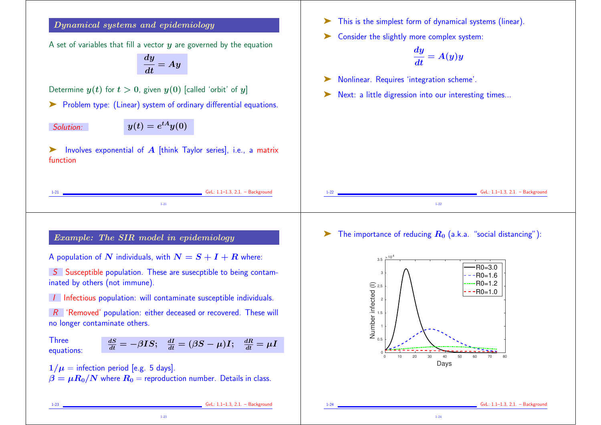## Dynamical systems and epidemiology

A set of variables that fill a vector  $\boldsymbol{u}$  are governed by the equation

$$
\frac{dy}{dt}=Ay
$$

Determine  $y(t)$  for  $t > 0$ , given  $y(0)$  [called 'orbit' of y]

➤ Problem type: (Linear) system of ordinary differential equations.

Solution:  $y(t) = e^{tA}y(0)$ 

Involves exponential of  $A$  [think Taylor series], i.e., a matrix function

- ➤ This is the simplest form of dynamical systems (linear).
- ➤ Consider the slightly more complex system:

$$
\frac{dy}{dt}=A(y)y
$$

- ➤ Nonlinear. Requires 'integration scheme'.
- ➤ Next: a little digression into our interesting times...

| GvL: $1.1-1.3$ , $2.1. - Background$<br>1-41 | $\sim$<br>-1-22 | GvL: 1.1-1.3, 2.1. - Background |
|----------------------------------------------|-----------------|---------------------------------|
|                                              |                 |                                 |

## Example: The SIR model in epidemiology

A population of N individuals, with  $N = S + I + R$  where:

S Susceptible population. These are susecptible to being contaminated by others (not immune).

I Infectious population: will contaminate susceptible individuals.

 $R$  'Removed' population: either deceased or recovered. These will no longer contaminate others.

**Three** equations:

$$
\frac{dS}{dt} = -\beta IS; \quad \frac{dI}{dt} = (\beta S - \mu)I; \quad \frac{dR}{dt} = \mu I
$$

 $1/\mu$  = infection period [e.g. 5 days].  $\beta = \mu R_0/N$  where  $R_0$  = reproduction number. Details in class.

1-23

 $\triangleright$  The importance of reducing  $R_0$  (a.k.a. "social distancing"):



1-23 GvL: 1.1–1.3, 2.1. – Background

GvL: 1.1-1.3, 2.1. - Background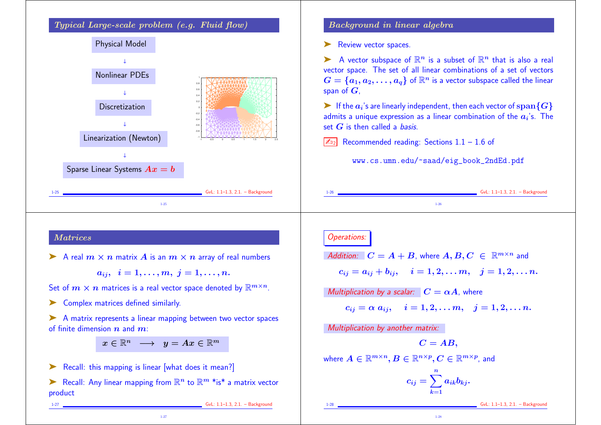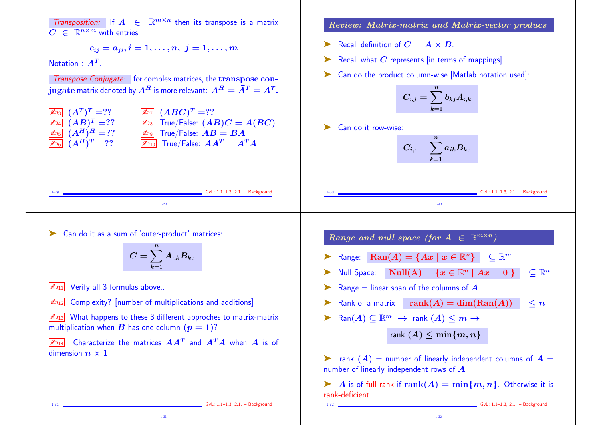Transposition: If  $A \in \mathbb{R}^{m \times n}$  then its transpose is a matrix  $C \in \mathbb{R}^{n \times m}$  with entries

$$
c_{ij}=a_{ji}, i=1,\ldots,n,~j=1,\ldots,m
$$

Notation :  $\boldsymbol{A}^T$ .

Transpose Conjugate: for complex matrices, the transpose conjugate matrix denoted by  $A^H$  is more relevant:  $A^H = \overline{A}^T = \overline{A^T}$ .



1-29 GvL: 1.1–1.3, 2.1. – Background 1-29

Review: Matrix-matrix and Matrix-vector producs

- Example 1.1 Recall definition of  $C = A \times B$ .
- $\triangleright$  Recall what C represents [in terms of mappings].
- ➤ Can do the product column-wise [Matlab notation used]:

$$
C_{:,j}=\sum_{k=1}^n b_{kj}A_{:,k}
$$

➤ Can do it row-wise:

$$
C_{i,:}=\sum_{k=1}^n a_{ik}B_{k,:}
$$

1-30

 $6vL: 1.1-1.3, 2.1. - Back$ ground

➤ Can do it as a sum of 'outer-product' matrices:

$$
C=\sum_{k=1}^n A_{:,k}B_{k,:}
$$

 $\sqrt{\mathbb{Z}_{911}}$  Verify all 3 formulas above..

 $\boxed{\mathbb{Z}_{912}}$  Complexity? [number of multiplications and additions]

 $\sqrt{\mathbb{Z}_{13}}$  What happens to these 3 different approches to matrix-matrix multiplication when B has one column  $(p = 1)$ ?

 $\boxed{\mathbb{Z}_{014}}$  Characterize the matrices  $AA^T$  and  $A^TA$  when A is of dimension  $n \times 1$ .

Range and null space (for  $A \in \mathbb{R}^{m \times n}$ )

- Range:  $\text{Ran}(A) = \{Ax \mid x \in \mathbb{R}^n\}$   $\subset \mathbb{R}^m$
- Null Space:  $Null(A) = \{x \in \mathbb{R}^n \mid Ax = 0\}$   $\subset \mathbb{R}^n$
- Range  $=$  linear span of the columns of  $\boldsymbol{A}$
- ightharpoonup Rank of a matrix rank  $(A) = \dim(\text{Ran}(A))$   $\leq n$
- ► Ran $(A)$   $\subset \mathbb{R}^m$   $\rightarrow$  rank  $(A)$   $\leq m$   $\rightarrow$

rank  $(A) \leq \min\{m, n\}$ 

ightharpoonup rank  $(A)$  = number of linearly independent columns of  $A =$ number of linearly independent rows of A

A is of full rank if  $\text{rank}(A) = \min\{m, n\}$ . Otherwise it is rank-deficient.

1-32

1-31

1-31 GvL: 1.1–1.3, 2.1. – Background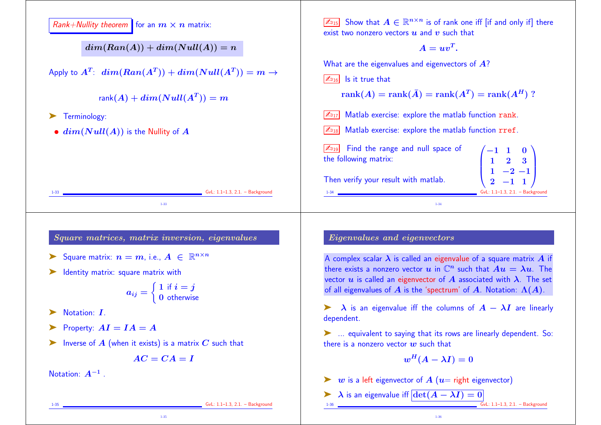

1-35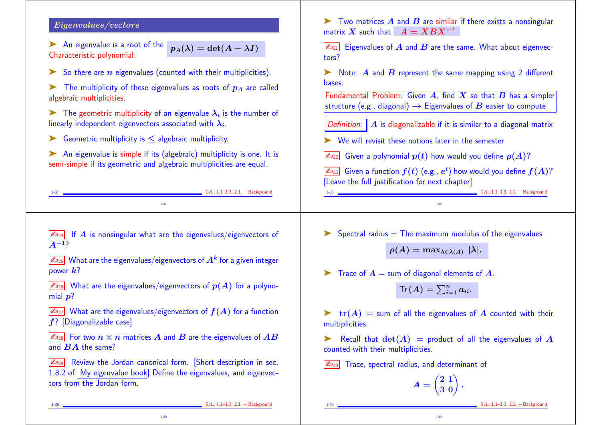### Eigenvalues/vectors

▶ An eigenvalue is a root of the Characteristic polynomial:  $p_A(\lambda) = \det(A - \lambda I)$ 

- $\triangleright$  So there are *n* eigenvalues (counted with their multiplicities).
- The multiplicity of these eigenvalues as roots of  $p_A$  are called algebraic multiplicities.

 $\blacktriangleright$  The geometric multiplicity of an eigenvalue  $\lambda_i$  is the number of linearly independent eigenvectors associated with  $\boldsymbol{\lambda_i}.$ 

- $\triangleright$  Geometric multiplicity is  $\leq$  algebraic multiplicity.
- ➤ An eigenvalue is simple if its (algebraic) multiplicity is one. It is semi-simple if its geometric and algebraic multiplicities are equal.

 $\sqrt{\mathbb{Z}_{D24}}$  If A is nonsingular what are the eigenvalues/eigenvectors of

 $\mathbb{Z}_{\scriptscriptstyle 225}$  What are the eigenvalues/eigenvectors of  $A^k$  for a given integer

 $\boxed{\mathbb{Z}_{26}}$  What are the eigenvalues/eigenvectors of  $p(A)$  for a polyno-

 $\sqrt{\mathbb{Z}_{27}}$  What are the eigenvalues/eigenvectors of  $f(A)$  for a function

 $\boxed{\mathbb{Z}_{228}}$  For two  $n \times n$  matrices  $A$  and  $B$  are the eigenvalues of  $AB$ 

 $\boxed{\mathbb{Z}_{929}}$  Review the Jordan canonical form. [Short description in sec. 1.8.2 of My eigenvalue book] Define the eigenvalues, and eigenvec-

1-39

Two matrices  $\vec{A}$  and  $\vec{B}$  are similar if there exists a nonsingular matrix X such that  $A = XBX^{-1}$ 

 $\boxed{\mathbb{Z}_{21}}$  Eigenvalues of A and B are the same. What about eigenvectors?

 $\triangleright$  Note: A and B represent the same mapping using 2 different bases.

Fundamental Problem: Given  $A$ , find  $X$  so that  $B$  has a simpler structure (e.g., diagonal)  $\rightarrow$  Eigenvalues of  $B$  easier to compute

Definition:  $\mathbf{A}$  is diagonalizable if it is similar to a diagonal matrix

➤ We will revisit these notions later in the semester

Given a polynomial  $p(t)$  how would you define  $p(A)$ ?

 $\mathbb{Z}_{\overline{2}3}$  Given a function  $f(t)$  (e.g.,  $e^t$ ) how would you define  $f(A)?$ [Leave the full justification for next chapter]

|     |                                   | [Leave the full justification for next chapter] |                                   |  |
|-----|-----------------------------------|-------------------------------------------------|-----------------------------------|--|
| 1-3 | $GvL: 1.1-1.3, 2.1. - Background$ |                                                 | $GvL: 1.1-1.3, 2.1. - Background$ |  |
|     |                                   |                                                 |                                   |  |

 $\triangleright$  Spectral radius = The maximum modulus of the eigenvalues

 $\rho(A) = \max_{\lambda \in \lambda(A)} |\lambda|.$ 

 $\blacktriangleright$  Trace of  $A =$  sum of diagonal elements of A.

$$
\text{Tr}\left(\boldsymbol{A}\right)=\sum_{i=1}^{n}a_{ii}.
$$

 $\triangleright$   $\text{tr}(A)$  = sum of all the eigenvalues of A counted with their multiplicities.

Recall that  $\det(A)$  = product of all the eigenvalues of A counted with their multiplicities.

 $\sqrt{2030}$  Trace, spectral radius, and determinant of

$$
A = \begin{pmatrix} 2 & 1 \\ 3 & 0 \end{pmatrix}.
$$

1-40

1-39 **GvL:** 1.1–1.3, 2.1. – Background

 $A^{-1}$ ?

power  $k$ ?

mial  $p$ ?

f? [Diagonalizable case]

tors from the Jordan form.

and  $BA$  the same?

GvL: 1.1-1.3, 2.1. - Background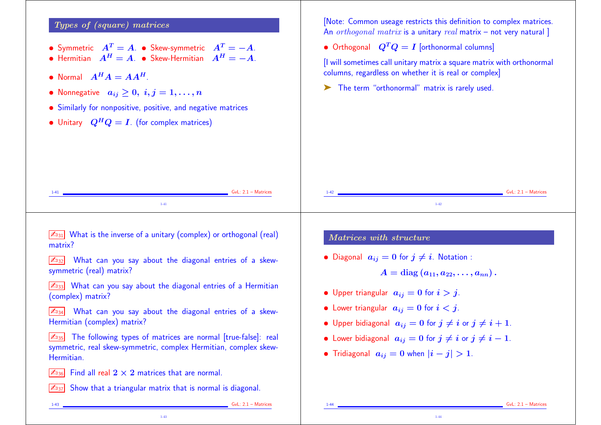# Types of (square) matrices

- Symmetric  $A^T = A$ . Skew-symmetric  $A^T = -A$ .
- Hermitian  $A^H = A$ . Skew-Hermitian  $A^H = -A$ .
- Normal  $A^H A = A A^H$ .
- Nonnegative  $a_{ij} \geq 0, i, j = 1, \ldots, n$
- Similarly for nonpositive, positive, and negative matrices
- Unitary  $Q^H Q = I$ . (for complex matrices)

[Note: Common useage restricts this definition to complex matrices. An *orthogonal matrix* is a unitary *real* matrix – not very natural

• Orthogonal  $Q^TQ = I$  [orthonormal columns]

[I will sometimes call unitary matrix a square matrix with orthonormal columns, regardless on whether it is real or complex]

➤ The term "orthonormal" matrix is rarely used.

| $GvL: 2.1 - Matrices$                                                                                                                                  | $GvL: 2.1 - Matrices$                                                                                               |  |  |
|--------------------------------------------------------------------------------------------------------------------------------------------------------|---------------------------------------------------------------------------------------------------------------------|--|--|
| $1 - 41$                                                                                                                                               | $1 - 42$                                                                                                            |  |  |
| What is the inverse of a unitary (complex) or orthogonal (real)<br>$\mathbb{Z}_{31}$<br>matrix?                                                        | Matrices with structure                                                                                             |  |  |
| What can you say about the diagonal entries of a skew-<br>$\mathbb{Z}_{92}$<br>symmetric (real) matrix?                                                | • Diagonal $a_{ij} = 0$ for $j \neq i$ . Notation :<br>$A = \text{diag}(a_{11}, a_{22}, \ldots, a_{nn}).$           |  |  |
| What can you say about the diagonal entries of a Hermitian<br>$\mathbb{Z}_{93}$<br>(complex) matrix?                                                   | • Upper triangular $a_{ij} = 0$ for $i > j$ .                                                                       |  |  |
| What can you say about the diagonal entries of a skew-<br>$\mathbb{Z}_{94}$<br>Hermitian (complex) matrix?                                             | • Lower triangular $a_{ij} = 0$ for $i < j$ .<br>• Upper bidiagonal $a_{ij} = 0$ for $j \neq i$ or $j \neq i + 1$ . |  |  |
| The following types of matrices are normal [true-false]: real<br>$\mathbb{Z}_{35}$<br>symmetric, real skew-symmetric, complex Hermitian, complex skew- | • Lower bidiagonal $a_{ij} = 0$ for $j \neq i$ or $j \neq i - 1$ .<br>エンド・シー こうしゅうしょう けいしゃせいしゃ                      |  |  |

• Tridiagonal  $a_{ij} = 0$  when  $|i - j| > 1$ .

1-44

 $\sqrt{\mathbb{Z}_{36}}$  Find all real  $2 \times 2$  matrices that are normal.

 $\sqrt{\mathbb{Z}_{37}}$  Show that a triangular matrix that is normal is diagonal.

1-43

1-43 GvL: 2.1 – Matrices

Hermitian.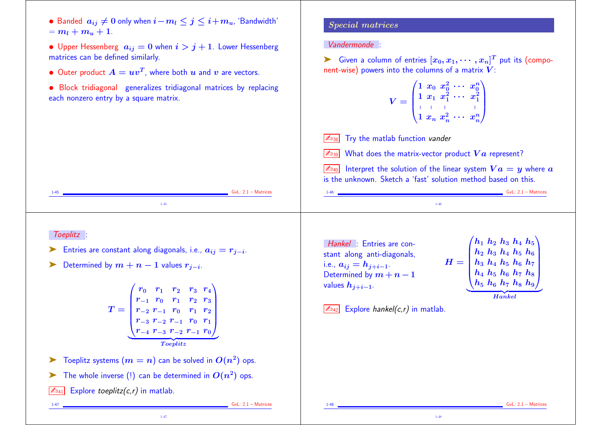- Banded  $a_{ij} \neq 0$  only when  $i-m_l \leq j \leq i+m_u$ , 'Bandwidth'  $= m_l + m_u + 1.$
- Upper Hessenberg  $a_{ij} = 0$  when  $i > j + 1$ . Lower Hessenberg matrices can be defined similarly.
- Outer product  $A = uv^T$ , where both  $u$  and  $v$  are vectors.
- Block tridiagonal generalizes tridiagonal matrices by replacing each nonzero entry by a square matrix.

## Special matrices

Vandermonde :

► Given a column of entries  $[x_0, x_1, \cdots, x_n]^T$  put its (component-wise) powers into the columns of a matrix  $V$ :

> $V =$  $\sqrt{1}$  $\begin{bmatrix} 1 \\ \vdots \\ 1 \end{bmatrix}$  $1\hspace{.05in}x_0 \hspace{.05in} x_0^2$  $\begin{smallmatrix}2&\cdots&x_0^n\ 0&\cdots&x_0^n\end{smallmatrix}$  $\overline{0}$  $1\,\,x_1\,\,x_1^2$  $\begin{smallmatrix}2&\cdots&x_1^2\ 1&\cdots&x_1^2\end{smallmatrix}$  $\begin{array}{ccc} \mathbf{1} & \mathbf{1} & \mathbf{1} & \mathbf{1} \\ \mathbf{1} & \mathbf{1} & \mathbf{1} \\ \mathbf{1} & \mathbf{1} & \mathbf{1} \end{array}$  $1 \; x_n \; x_n^2$  $\binom{2}{n}$   $\cdots$   $\binom{n}{n}$  $n/$  $\sum_{i=1}^{n}$  $\vert$

 $\sqrt{\mathbb{Z}_{38}}$  Try the matlab function vander

What does the matrix-vector product  $Va$  represent?

 $\boxed{\mathbb{Z}_{40}}$  Interpret the solution of the linear system  $Va = y$  where  $a$ is the unknown. Sketch a 'fast' solution method based on this.

1-48

1-45 **GvL: 2.1 – Matrices** 1-45 1-46 GvL: 2.1 – Matrices 1-46

### Toeplitz :

- ► Entries are constant along diagonals, i.e.,  $a_{ij} = r_{j-i}$ .
- ► Determined by  $m + n 1$  values  $r_{j-i}$ .

$$
T = \begin{pmatrix} r_0 & r_1 & r_2 & r_3 & r_4 \\ r_{-1} & r_0 & r_1 & r_2 & r_3 \\ r_{-2} & r_{-1} & r_0 & r_1 & r_2 \\ r_{-3} & r_{-2} & r_{-1} & r_0 & r_1 \\ r_{-4} & r_{-3} & r_{-2} & r_{-1} & r_0 \end{pmatrix}
$$
  
Toeplitz

- $\blacktriangleright$  Toeplitz systems  $(m = n)$  can be solved in  $O(n^2)$  ops.
- The whole inverse (!) can be determined in  $O(n^2)$  ops.
- $\boxed{\mathbb{Z}_{041}}$  Explore toeplitz(c,r) in matlab.

1-47 GvL: 2.1 – Matrices

Hankel : Entries are constant along anti-diagonals, i.e.,  $a_{ij} = h_{j+i-1}$ . Determined by  $m + n - 1$ values  $h_{i+i-1}$ .

 $H = |$  $/h_1$  $\begin{bmatrix} h_2 \ h_3 \ h_4 \end{bmatrix}$  $\, h_1 \; h_2 \; h_3 \; h_4 \; h_5 \, ^\backprime$  ${\bm h}_2$   ${\bm h}_3$   ${\bm h}_4$   ${\bm h}_5$   ${\bm h}_6$  ${\bm h}_3$   ${\bm h}_4$   ${\bm h}_5$   ${\bm h}_6$   ${\bm h}_7$  ${\bm h}_4$   ${\bm h}_5$   ${\bm h}_6$   ${\bm h}_7$   ${\bm h}_8$  $\bm{h_5}$   $\bm{h_6}$   $\bm{h_7}$   $\bm{h_8}$   $\bm{h_9}$  $\sum_{i=1}^{n}$  $\vert$  ${Hankel}$ Hankel

 $|\mathcal{L}_{042}|$  Explore hankel(c,r) in matlab.

 $GvL: 2.1 - Matrices$